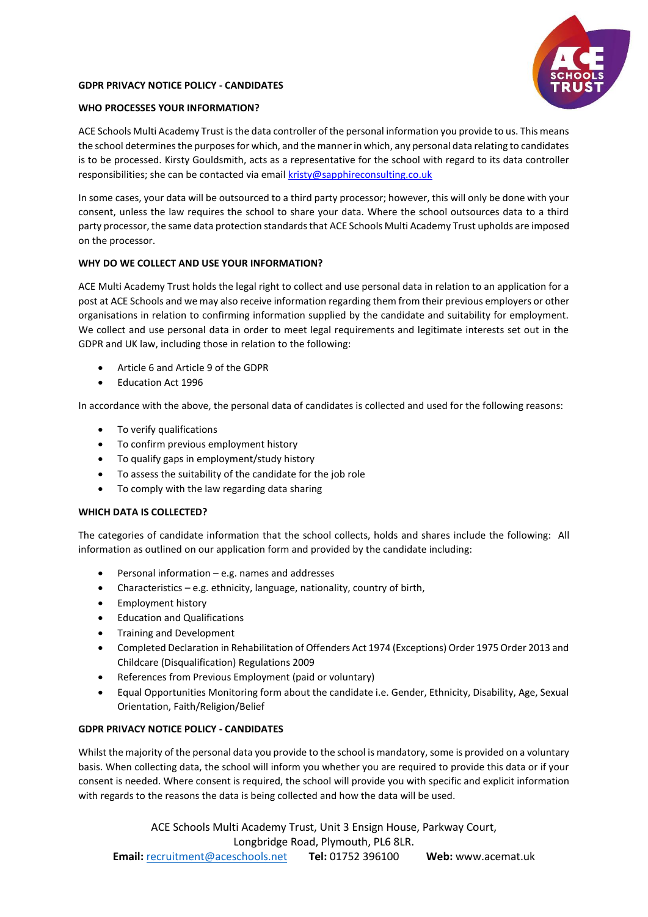# **GDPR PRIVACY NOTICE POLICY - CANDIDATES**



# **WHO PROCESSES YOUR INFORMATION?**

ACE Schools Multi Academy Trust is the data controller of the personal information you provide to us. This means the school determines the purposes for which, and the manner in which, any personal data relating to candidates is to be processed. Kirsty Gouldsmith, acts as a representative for the school with regard to its data controller responsibilities; she can be contacted via email [kristy@sapphireconsulting.co.uk](mailto:kristy@sapphireconsulting.co.uk)

In some cases, your data will be outsourced to a third party processor; however, this will only be done with your consent, unless the law requires the school to share your data. Where the school outsources data to a third party processor, the same data protection standards that ACE Schools Multi Academy Trust upholds are imposed on the processor.

# **WHY DO WE COLLECT AND USE YOUR INFORMATION?**

ACE Multi Academy Trust holds the legal right to collect and use personal data in relation to an application for a post at ACE Schools and we may also receive information regarding them from their previous employers or other organisations in relation to confirming information supplied by the candidate and suitability for employment. We collect and use personal data in order to meet legal requirements and legitimate interests set out in the GDPR and UK law, including those in relation to the following:

- Article 6 and Article 9 of the GDPR
- Education Act 1996

In accordance with the above, the personal data of candidates is collected and used for the following reasons:

- To verify qualifications
- To confirm previous employment history
- To qualify gaps in employment/study history
- To assess the suitability of the candidate for the job role
- To comply with the law regarding data sharing

### **WHICH DATA IS COLLECTED?**

The categories of candidate information that the school collects, holds and shares include the following: All information as outlined on our application form and provided by the candidate including:

- $\bullet$  Personal information e.g. names and addresses
- Characteristics e.g. ethnicity, language, nationality, country of birth,
- **•** Employment history
- Education and Qualifications
- Training and Development
- Completed Declaration in Rehabilitation of Offenders Act 1974 (Exceptions) Order 1975 Order 2013 and Childcare (Disqualification) Regulations 2009
- References from Previous Employment (paid or voluntary)
- Equal Opportunities Monitoring form about the candidate i.e. Gender, Ethnicity, Disability, Age, Sexual Orientation, Faith/Religion/Belief

### **GDPR PRIVACY NOTICE POLICY - CANDIDATES**

Whilst the majority of the personal data you provide to the school is mandatory, some is provided on a voluntary basis. When collecting data, the school will inform you whether you are required to provide this data or if your consent is needed. Where consent is required, the school will provide you with specific and explicit information with regards to the reasons the data is being collected and how the data will be used.

ACE Schools Multi Academy Trust, Unit 3 Ensign House, Parkway Court, Longbridge Road, Plymouth, PL6 8LR. **Email:** recruitment@aceschools.net **Tel:** 01752 396100 **Web:** www.acemat.uk